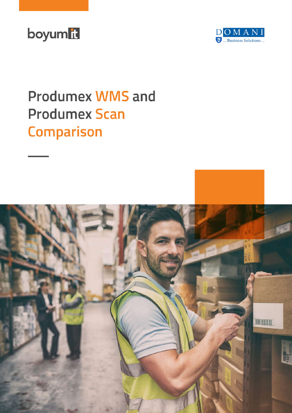



# **Produmex WMS and Produmex Scan Comparison**

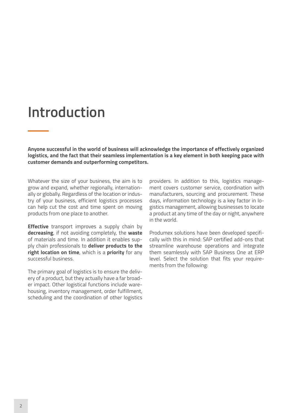### **Introduction**

**Anyone successful in the world of business will acknowledge the importance of effectively organized logistics, and the fact that their seamless implementation is a key element in both keeping pace with customer demands and outperforming competitors.**

Whatever the size of your business, the aim is to grow and expand, whether regionally, internationally or globally. Regardless of the location or industry of your business, efficient logistics processes can help cut the cost and time spent on moving products from one place to another.

**Effective** transport improves a supply chain by **decreasing**, if not avoiding completely, the **waste** of materials and time. In addition it enables supply chain professionals to **deliver products to the right location on time**, which is a **priority** for any successful business.

The primary goal of logistics is to ensure the delivery of a product, but they actually have a far broader impact. Other logistical functions include warehousing, inventory management, order fulfillment, scheduling and the coordination of other logistics

providers. In addition to this, logistics management covers customer service, coordination with manufacturers, sourcing and procurement. These days, information technology is a key factor in logistics management, allowing businesses to locate a product at any time of the day or night, anywhere in the world.

Produmex solutions have been developed specifically with this in mind: SAP certified add-ons that streamline warehouse operations and integrate them seamlessly with SAP Business One at ERP level. Select the solution that fits your requirements from the following: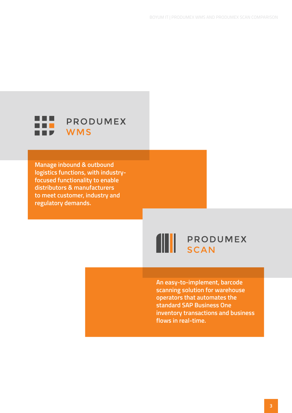

**Manage inbound & outbound logistics functions, with industryfocused functionality to enable distributors & manufacturers to meet customer, industry and regulatory demands.**



**An easy-to-implement, barcode scanning solution for warehouse operators that automates the standard SAP Business One inventory transactions and business flows in real-time.**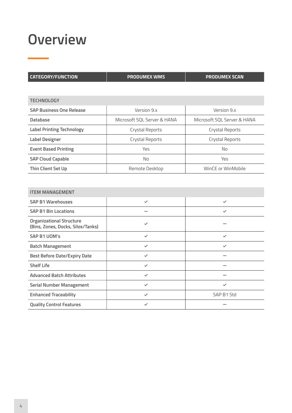### **Overview**

**CATEGORY/FUNCTION PRODUMEX WMS PRODUMEX SCAN**

**TECHNOLOGY**

| <b>SAP Business One Release</b>  | Version 9.x                 | Version 9.x                 |
|----------------------------------|-----------------------------|-----------------------------|
| <b>Database</b>                  | Microsoft SQL Server & HANA | Microsoft SQL Server & HANA |
| <b>Label Printing Technology</b> | Crystal Reports             | Crystal Reports             |
| <b>Label Designer</b>            | Crystal Reports             | Crystal Reports             |
| <b>Event Based Printing</b>      | Yes                         | No                          |
| <b>SAP Cloud Capable</b>         | No                          | Yes                         |
| Thin Client Set Up               | Remote Desktop              | WinCE or WinMobile          |

| <b>ITEM MANAGEMENT</b>                                               |              |              |
|----------------------------------------------------------------------|--------------|--------------|
| <b>SAP B1 Warehouses</b>                                             | $\checkmark$ | $\checkmark$ |
| <b>SAP B1 Bin Locations</b>                                          |              | $\checkmark$ |
| <b>Organizational Structure</b><br>(Bins, Zones, Docks, Silos/Tanks) | $\checkmark$ |              |
| <b>SAP B1 UOM's</b>                                                  | $\checkmark$ | $\checkmark$ |
| <b>Batch Management</b>                                              | $\checkmark$ | $\checkmark$ |
| <b>Best Before Date/Expiry Date</b>                                  | $\checkmark$ |              |
| <b>Shelf Life</b>                                                    | $\checkmark$ |              |
| <b>Advanced Batch Attributes</b>                                     | $\checkmark$ |              |
| <b>Serial Number Management</b>                                      | $\checkmark$ | $\checkmark$ |
| <b>Enhanced Traceability</b>                                         | $\checkmark$ | SAP B1 Std   |
| <b>Quality Control Features</b>                                      | ✓            |              |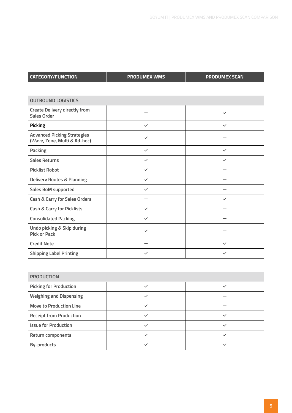| <b>CATEGORY/FUNCTION</b> |  |
|--------------------------|--|
|                          |  |

**CATEGORY/FUNCTIONAL PRODUMEX SCAN** 

| <b>OUTBOUND LOGISTICS</b>                                          |              |              |
|--------------------------------------------------------------------|--------------|--------------|
| <b>Create Delivery directly from</b><br><b>Sales Order</b>         |              | $\checkmark$ |
| <b>Picking</b>                                                     | $\checkmark$ | $\checkmark$ |
| <b>Advanced Picking Strategies</b><br>(Wave, Zone, Multi & Ad-hoc) | $\checkmark$ |              |
| Packing                                                            | $\checkmark$ | $\checkmark$ |
| <b>Sales Returns</b>                                               | $\checkmark$ | $\checkmark$ |
| <b>Picklist Robot</b>                                              | $\checkmark$ |              |
| <b>Delivery Routes &amp; Planning</b>                              | $\checkmark$ |              |
| Sales BoM supported                                                | $\checkmark$ |              |
| <b>Cash &amp; Carry for Sales Orders</b>                           |              | $\checkmark$ |
| <b>Cash &amp; Carry for Picklists</b>                              | ✓            |              |
| <b>Consolidated Packing</b>                                        | $\checkmark$ |              |
| Undo picking & Skip during<br><b>Pick or Pack</b>                  | $\checkmark$ |              |
| <b>Credit Note</b>                                                 |              | $\checkmark$ |
| <b>Shipping Label Printing</b>                                     | $\checkmark$ | $\checkmark$ |
|                                                                    |              |              |

#### **PRODUCTION**

| <b>Picking for Production</b>  | $\checkmark$ |  |
|--------------------------------|--------------|--|
| <b>Weighing and Dispensing</b> |              |  |
| <b>Move to Production Line</b> | $\checkmark$ |  |
| <b>Receipt from Production</b> | $\checkmark$ |  |
| <b>Issue for Production</b>    | $\checkmark$ |  |
| <b>Return components</b>       | $\checkmark$ |  |
| By-products                    |              |  |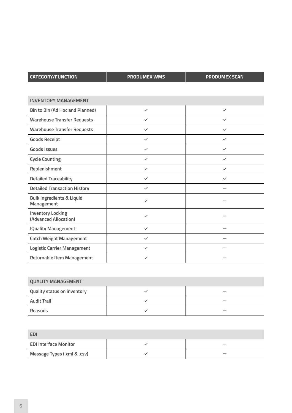| <b>CATEGORY/FUNCTION</b> |  |
|--------------------------|--|
|--------------------------|--|

**CATEGORY/FUNCTIONAL PRODUMEX SCAN** 

| <b>INVENTORY MANAGEMENT</b>                        |              |              |
|----------------------------------------------------|--------------|--------------|
| Bin to Bin (Ad Hoc and Planned)                    | $\checkmark$ | $\checkmark$ |
| <b>Warehouse Transfer Requests</b>                 | ✓            | $\checkmark$ |
| <b>Warehouse Transfer Requests</b>                 | $\checkmark$ | $\checkmark$ |
| <b>Goods Receipt</b>                               | $\checkmark$ | $\checkmark$ |
| <b>Goods Issues</b>                                | $\checkmark$ | $\checkmark$ |
| <b>Cycle Counting</b>                              | $\checkmark$ | $\checkmark$ |
| Replenishment                                      | $\checkmark$ | $\checkmark$ |
| <b>Detailed Traceability</b>                       | ✓            | $\checkmark$ |
| <b>Detailed Transaction History</b>                | $\checkmark$ |              |
| <b>Bulk Ingredients &amp; Liquid</b><br>Management | $\checkmark$ |              |
| <b>Inventory Locking</b><br>(Advanced Allocation)  | $\checkmark$ |              |
| <b>IQuality Management</b>                         | $\checkmark$ |              |
| <b>Catch Weight Management</b>                     | $\checkmark$ |              |
| <b>Logistic Carrier Management</b>                 | $\checkmark$ |              |
| Returnable Item Management                         | $\checkmark$ |              |

| <b>QUALITY MANAGEMENT</b>          |  |   |
|------------------------------------|--|---|
| <b>Quality status on inventory</b> |  |   |
| <b>Audit Trail</b>                 |  |   |
| Reasons                            |  | _ |

| <b>ED</b>                    |  |
|------------------------------|--|
| <b>EDI Interface Monitor</b> |  |
| Message Types (.xml & .csv)  |  |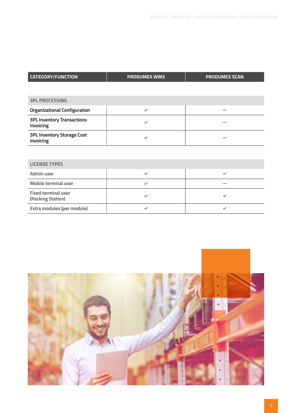| <b>CATEGORY/FUNCTION</b> | <b>PRODUMEX WMS</b> | <b>PRODUMEX SCAN</b> |
|--------------------------|---------------------|----------------------|
|                          |                     |                      |

| <b>3PL PROCESSING</b> |
|-----------------------|
|-----------------------|

| <b>Organizational Configuration</b>            |  |
|------------------------------------------------|--|
| <b>3PL Inventory Transactions</b><br>Invoicing |  |
| <b>3PL Inventory Storage Cost</b><br>Invoicing |  |

#### **LICENSE TYPES**

| Admin user                                      |  |
|-------------------------------------------------|--|
| Mobile terminal user                            |  |
| <b>Fixed terminal user</b><br>(Packing Station) |  |
| Extra modules (per module)                      |  |